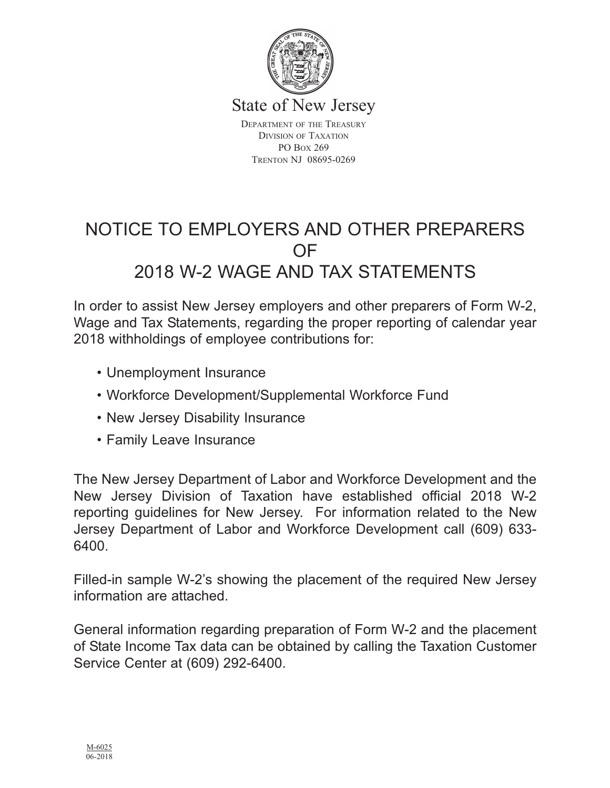

State of New Jersey

DEPARTMENT OF THE TREASURY DIVISION OF TAXATION PO BOX 269 TRENTON NJ 08695-0269

# NOTICE TO EMPLOYERS AND OTHER PREPARERS OF 2018 W-2 WAGE AND TAX STATEMENTS

In order to assist New Jersey employers and other preparers of Form W-2, Wage and Tax Statements, regarding the proper reporting of calendar year 2018 withholdings of employee contributions for:

- Unemployment Insurance
- Workforce Development/Supplemental Workforce Fund
- New Jersey Disability Insurance
- Family Leave Insurance

The New Jersey Department of Labor and Workforce Development and the New Jersey Division of Taxation have established official 2018 W-2 reporting guidelines for New Jersey. For information related to the New Jersey Department of Labor and Workforce Development call (609) 633- 6400.

Filled-in sample W-2's showing the placement of the required New Jersey information are attached.

General information regarding preparation of Form W-2 and the placement of State Income Tax data can be obtained by calling the Taxation Customer Service Center at (609) 292-6400.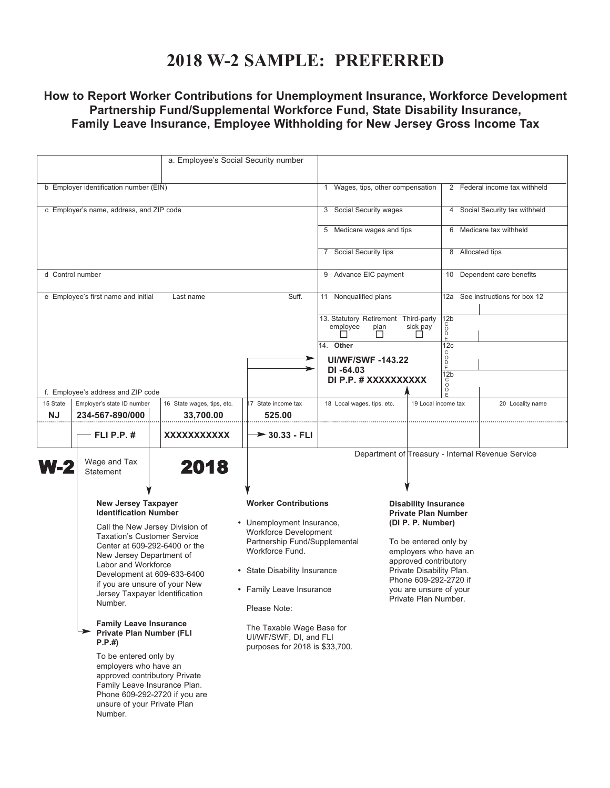### **2018 W-2 SAMPLE: PREFERRED**

### **How to Report Worker Contributions for Unemployment Insurance, Workforce Development Partnership Fund/Supplemental Workforce Fund, State Disability Insurance, Family Leave Insurance, Employee Withholding for New Jersey Gross Income Tax**

|                                          | a. Employee's Social Security number                                                                                                                                                                                                                                                                                                                                                                                                                                                                                                                                                                            |                                         |                                                                                                                                                                                                                                                                                                                   |                                                               |                                                                                                                                                                                                                                                                  |                                        |                                                   |
|------------------------------------------|-----------------------------------------------------------------------------------------------------------------------------------------------------------------------------------------------------------------------------------------------------------------------------------------------------------------------------------------------------------------------------------------------------------------------------------------------------------------------------------------------------------------------------------------------------------------------------------------------------------------|-----------------------------------------|-------------------------------------------------------------------------------------------------------------------------------------------------------------------------------------------------------------------------------------------------------------------------------------------------------------------|---------------------------------------------------------------|------------------------------------------------------------------------------------------------------------------------------------------------------------------------------------------------------------------------------------------------------------------|----------------------------------------|---------------------------------------------------|
| b Employer identification number (EIN)   |                                                                                                                                                                                                                                                                                                                                                                                                                                                                                                                                                                                                                 |                                         |                                                                                                                                                                                                                                                                                                                   | 1                                                             | Wages, tips, other compensation                                                                                                                                                                                                                                  | 2 Federal income tax withheld          |                                                   |
| c Employer's name, address, and ZIP code |                                                                                                                                                                                                                                                                                                                                                                                                                                                                                                                                                                                                                 |                                         |                                                                                                                                                                                                                                                                                                                   | 3 Social Security wages                                       |                                                                                                                                                                                                                                                                  | 4 Social Security tax withheld         |                                                   |
|                                          |                                                                                                                                                                                                                                                                                                                                                                                                                                                                                                                                                                                                                 |                                         |                                                                                                                                                                                                                                                                                                                   | 5 Medicare wages and tips                                     |                                                                                                                                                                                                                                                                  |                                        | 6 Medicare tax withheld                           |
|                                          |                                                                                                                                                                                                                                                                                                                                                                                                                                                                                                                                                                                                                 |                                         |                                                                                                                                                                                                                                                                                                                   | 7 Social Security tips                                        |                                                                                                                                                                                                                                                                  | 8 Allocated tips                       |                                                   |
| d Control number                         |                                                                                                                                                                                                                                                                                                                                                                                                                                                                                                                                                                                                                 |                                         |                                                                                                                                                                                                                                                                                                                   | 9 Advance EIC payment                                         |                                                                                                                                                                                                                                                                  | 10 Dependent care benefits             |                                                   |
|                                          | e Employee's first name and initial                                                                                                                                                                                                                                                                                                                                                                                                                                                                                                                                                                             | Last name                               | Suff.                                                                                                                                                                                                                                                                                                             | Nonqualified plans<br>11                                      |                                                                                                                                                                                                                                                                  | 12a See instructions for box 12        |                                                   |
|                                          |                                                                                                                                                                                                                                                                                                                                                                                                                                                                                                                                                                                                                 |                                         |                                                                                                                                                                                                                                                                                                                   | 13. Statutory Retirement Third-party<br>employee<br>plan<br>П | sick pay<br>$\mathsf{L}$                                                                                                                                                                                                                                         | 12 <sub>b</sub><br>ŏ<br>$\frac{D}{E}$  |                                                   |
|                                          |                                                                                                                                                                                                                                                                                                                                                                                                                                                                                                                                                                                                                 |                                         | ⋗                                                                                                                                                                                                                                                                                                                 | 14. Other<br><b>UI/WF/SWF-143.22</b>                          |                                                                                                                                                                                                                                                                  | 12 <sub>c</sub><br>C<br>$\overline{D}$ |                                                   |
|                                          |                                                                                                                                                                                                                                                                                                                                                                                                                                                                                                                                                                                                                 |                                         |                                                                                                                                                                                                                                                                                                                   | $DI - 64.03$<br>DI P.P. # XXXXXXXXXX                          |                                                                                                                                                                                                                                                                  | E<br>12 <sub>b</sub><br>$\frac{c}{D}$  |                                                   |
| 15 State<br><b>NJ</b>                    | f. Employee's address and ZIP code<br>Employer's state ID number<br>234-567-890/000                                                                                                                                                                                                                                                                                                                                                                                                                                                                                                                             | 16 State wages, tips, etc.<br>33,700.00 | 17 State income tax<br>525.00                                                                                                                                                                                                                                                                                     | 18 Local wages, tips, etc.                                    | 19 Local income tax                                                                                                                                                                                                                                              |                                        | 20 Locality name                                  |
|                                          | <b>FLI P.P. #</b>                                                                                                                                                                                                                                                                                                                                                                                                                                                                                                                                                                                               | XXXXXXXXXXX                             | $\rightarrow$ 30.33 - FLI                                                                                                                                                                                                                                                                                         |                                                               |                                                                                                                                                                                                                                                                  |                                        |                                                   |
| <b>W-2</b>                               | Wage and Tax<br><b>Statement</b>                                                                                                                                                                                                                                                                                                                                                                                                                                                                                                                                                                                | 2018                                    |                                                                                                                                                                                                                                                                                                                   |                                                               |                                                                                                                                                                                                                                                                  |                                        | Department of Treasury - Internal Revenue Service |
|                                          | <b>New Jersey Taxpayer</b><br><b>Identification Number</b><br>Call the New Jersey Division of<br><b>Taxation's Customer Service</b><br>Center at 609-292-6400 or the<br>New Jersey Department of<br>Labor and Workforce<br>Development at 609-633-6400<br>if you are unsure of your New<br>Jersey Taxpayer Identification<br>Number.<br><b>Family Leave Insurance</b><br><b>Private Plan Number (FLI</b><br>P.P.#<br>To be entered only by<br>employers who have an<br>approved contributory Private<br>Family Leave Insurance Plan.<br>Phone 609-292-2720 if you are<br>unsure of your Private Plan<br>Number. |                                         | <b>Worker Contributions</b><br>• Unemployment Insurance,<br><b>Workforce Development</b><br>Partnership Fund/Supplemental<br>Workforce Fund.<br>• State Disability Insurance<br>• Family Leave Insurance<br>Please Note:<br>The Taxable Wage Base for<br>UI/WF/SWF, DI, and FLI<br>purposes for 2018 is \$33,700. |                                                               | <b>Disability Insurance</b><br><b>Private Plan Number</b><br>(DI P. P. Number)<br>To be entered only by<br>employers who have an<br>approved contributory<br>Private Disability Plan.<br>Phone 609-292-2720 if<br>you are unsure of your<br>Private Plan Number. |                                        |                                                   |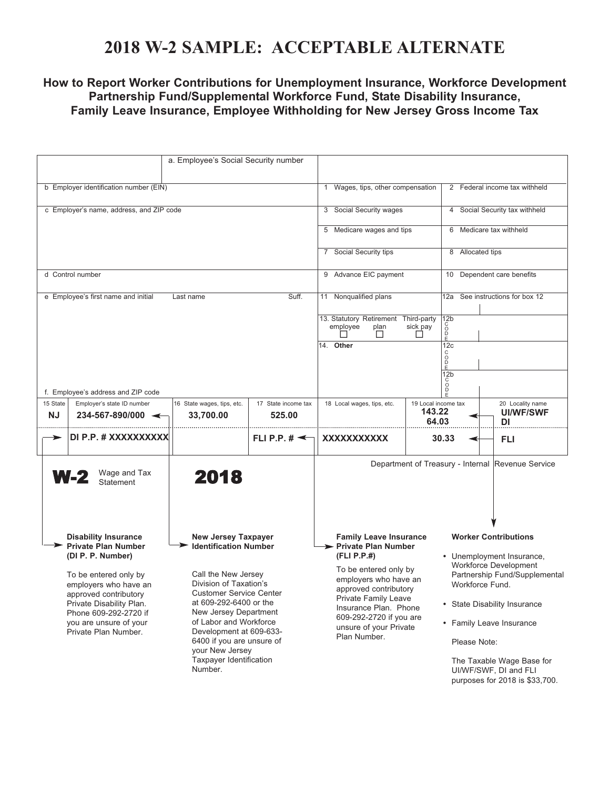## **2018 W-2 SAMPLE: ACCEPTABLE ALTERNATE**

#### **How to Report Worker Contributions for Unemployment Insurance, Workforce Development Partnership Fund/Supplemental Workforce Fund, State Disability Insurance, Family Leave Insurance, Employee Withholding for New Jersey Gross Income Tax**

|                                                                                                                                                                                                     | a. Employee's Social Security number                                                                                                                                                                                                                                          |                                                        |                                                                                                                                                                                                              |                                        |                                                                                                                                                                                                                                                                            |                                                   |  |
|-----------------------------------------------------------------------------------------------------------------------------------------------------------------------------------------------------|-------------------------------------------------------------------------------------------------------------------------------------------------------------------------------------------------------------------------------------------------------------------------------|--------------------------------------------------------|--------------------------------------------------------------------------------------------------------------------------------------------------------------------------------------------------------------|----------------------------------------|----------------------------------------------------------------------------------------------------------------------------------------------------------------------------------------------------------------------------------------------------------------------------|---------------------------------------------------|--|
| b Employer identification number (EIN)                                                                                                                                                              | 1 Wages, tips, other compensation                                                                                                                                                                                                                                             |                                                        | 2 Federal income tax withheld                                                                                                                                                                                |                                        |                                                                                                                                                                                                                                                                            |                                                   |  |
| c Employer's name, address, and ZIP code                                                                                                                                                            | 3 Social Security wages                                                                                                                                                                                                                                                       |                                                        | 4 Social Security tax withheld                                                                                                                                                                               |                                        |                                                                                                                                                                                                                                                                            |                                                   |  |
|                                                                                                                                                                                                     | 5 Medicare wages and tips                                                                                                                                                                                                                                                     |                                                        | 6 Medicare tax withheld                                                                                                                                                                                      |                                        |                                                                                                                                                                                                                                                                            |                                                   |  |
|                                                                                                                                                                                                     | 7 Social Security tips                                                                                                                                                                                                                                                        |                                                        | 8 Allocated tips                                                                                                                                                                                             |                                        |                                                                                                                                                                                                                                                                            |                                                   |  |
| d Control number                                                                                                                                                                                    | 9 Advance EIC payment                                                                                                                                                                                                                                                         |                                                        | 10 Dependent care benefits                                                                                                                                                                                   |                                        |                                                                                                                                                                                                                                                                            |                                                   |  |
| e Employee's first name and initial                                                                                                                                                                 | Last name                                                                                                                                                                                                                                                                     | Suff.                                                  | 11 Nonqualified plans                                                                                                                                                                                        |                                        | 12a See instructions for box 12                                                                                                                                                                                                                                            |                                                   |  |
|                                                                                                                                                                                                     |                                                                                                                                                                                                                                                                               |                                                        | 13. Statutory Retirement Third-party<br>plan<br>employee<br>ΙI                                                                                                                                               | sick pay<br>П                          | 12 <sub>b</sub><br>C<br>D<br>D<br>E                                                                                                                                                                                                                                        |                                                   |  |
|                                                                                                                                                                                                     |                                                                                                                                                                                                                                                                               |                                                        | 14. Other                                                                                                                                                                                                    |                                        | 12c<br>C<br>$rac{1}{E}$<br>12 <sub>b</sub>                                                                                                                                                                                                                                 |                                                   |  |
| f. Employee's address and ZIP code                                                                                                                                                                  |                                                                                                                                                                                                                                                                               |                                                        |                                                                                                                                                                                                              |                                        | Ď                                                                                                                                                                                                                                                                          |                                                   |  |
| 15 State<br>Employer's state ID number<br><b>NJ</b><br>$234 - 567 - 890/000$ $\leftarrow$                                                                                                           | 16 State wages, tips, etc.<br>33,700.00                                                                                                                                                                                                                                       | 17 State income tax<br>525.00                          | 18 Local wages, tips, etc.                                                                                                                                                                                   | 19 Local income tax<br>143.22<br>64.03 |                                                                                                                                                                                                                                                                            | 20 Locality name<br>UI/WF/SWF<br>DI               |  |
| DI P.P. # XXXXXXXXXX<br>Ð                                                                                                                                                                           |                                                                                                                                                                                                                                                                               | FLI P.P. $\sharp \preceq$                              | XXXXXXXXXXX                                                                                                                                                                                                  |                                        | 30.33                                                                                                                                                                                                                                                                      | FLI                                               |  |
| Wage and Tax<br><b>W-2</b><br>Statement                                                                                                                                                             | 2018                                                                                                                                                                                                                                                                          |                                                        |                                                                                                                                                                                                              |                                        |                                                                                                                                                                                                                                                                            | Department of Treasury - Internal Revenue Service |  |
| <b>Disability Insurance</b><br><b>New Jersey Taxpayer</b><br><b>Private Plan Number</b><br><b>Identification Number</b>                                                                             |                                                                                                                                                                                                                                                                               | <b>Family Leave Insurance</b><br>> Private Plan Number |                                                                                                                                                                                                              |                                        | <b>Worker Contributions</b>                                                                                                                                                                                                                                                |                                                   |  |
| (DI P. P. Number)<br>To be entered only by<br>employers who have an<br>approved contributory<br>Private Disability Plan.<br>Phone 609-292-2720 if<br>you are unsure of your<br>Private Plan Number. | Call the New Jersey<br>Division of Taxation's<br><b>Customer Service Center</b><br>at 609-292-6400 or the<br>New Jersey Department<br>of Labor and Workforce<br>Development at 609-633-<br>6400 if you are unsure of<br>your New Jersey<br>Taxpayer Identification<br>Number. |                                                        | (FLI P.P.#)<br>To be entered only by<br>employers who have an<br>approved contributory<br>Private Family Leave<br>Insurance Plan. Phone<br>609-292-2720 if you are<br>unsure of your Private<br>Plan Number. |                                        | • Unemployment Insurance,<br>Workforce Development<br>Partnership Fund/Supplemental<br>Workforce Fund.<br>• State Disability Insurance<br>• Family Leave Insurance<br>Please Note:<br>The Taxable Wage Base for<br>UI/WF/SWF, DI and FLI<br>purposes for 2018 is \$33,700. |                                                   |  |